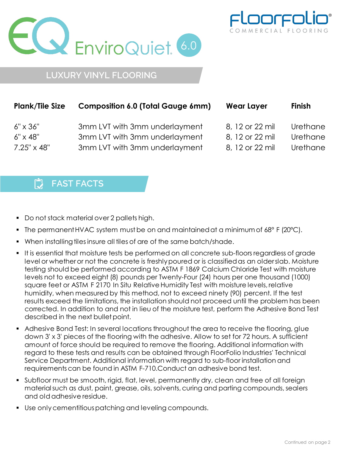



## **LUXURY VINYL FLOORING**

| <b>Plank/Tile Size</b> | <b>Composition 6.0 (Total Gauge 6mm)</b> | <b>Wear Layer</b> | <b>Finish</b> |
|------------------------|------------------------------------------|-------------------|---------------|
| $6'' \times 36''$      | 3mm LVT with 3mm underlayment            | 8, 12 or 22 mil   | Urethane      |
| $6'' \times 48''$      | 3mm LVT with 3mm underlayment            | 8, 12 or 22 mil   | Urethane      |
| $7.25'' \times 48''$   | 3mm LVT with 3mm underlayment            | 8, 12 or 22 mil   | Urethane      |

## 门 **FAST FACTS**

- Do not stack material over 2 pallets high.
- The permanent HVAC system must be on and maintained at a minimum of 68° F (20°C).
- **When installing tiles insure all tiles of are of the same batch/shade.**
- It is essential that moisture tests be performed on all concrete sub-floors regardless of grade level or whetheror not the concrete is freshlypoured or is classifiedas an olderslab. Moisture testing should be performed according to ASTM F 1869 Calcium Chloride Test with moisture levels not to exceed eight (8) pounds per Twenty-Four (24) hours per one thousand (1000) square feet or ASTM F 2170 In Situ Relative Humidity Test with moisture levels, relative humidity, when measured by this method, not to exceed ninety (90) percent. If the test results exceed the limitations, the installation should not proceed until the problem has been corrected. In addition to and not in lieu of the moisture test, perform the Adhesive Bond Test described in the next bullet point.
- Adhesive Bond Test: In several locations throughout the area to receive the flooring, glue down 3' x 3' pieces of the flooring with the adhesive. Allow to set for 72 hours. A sufficient amount of force should be required to remove the flooring. Additional information with regard to these tests and results can be obtained through FloorFolio Industries' Technical Service Department. Additional information with regard to sub-floor installation and requirementscan be found in ASTM F-710.Conduct an adhesive bond test.
- Subfloor must be smooth, rigid, flat, level, permanently dry, clean and free of all foreign material such as dust, paint, grease, oils, solvents, curing and parting compounds, sealers and oldadhesive residue.
- Use onlycementitiouspatching and leveling compounds.